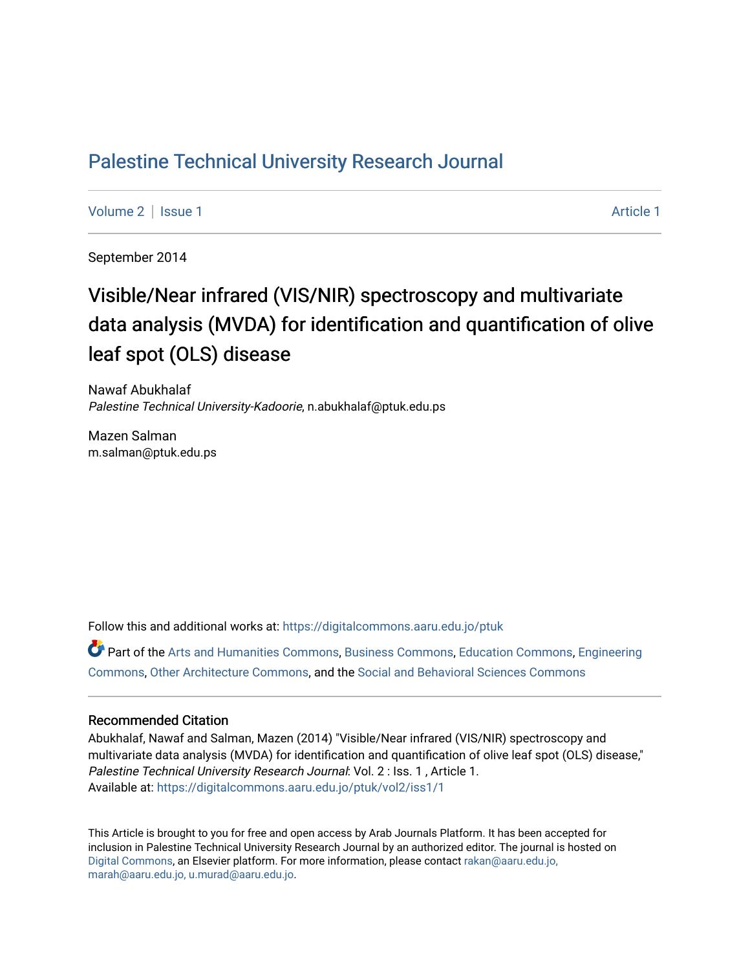# [Palestine Technical University Research Journal](https://digitalcommons.aaru.edu.jo/ptuk)

[Volume 2](https://digitalcommons.aaru.edu.jo/ptuk/vol2) | [Issue 1](https://digitalcommons.aaru.edu.jo/ptuk/vol2/iss1) Article 1

September 2014

# Visible/Near infrared (VIS/NIR) spectroscopy and multivariate data analysis (MVDA) for identification and quantification of olive leaf spot (OLS) disease

Nawaf Abukhalaf Palestine Technical University-Kadoorie, n.abukhalaf@ptuk.edu.ps

Mazen Salman m.salman@ptuk.edu.ps

Follow this and additional works at: [https://digitalcommons.aaru.edu.jo/ptuk](https://digitalcommons.aaru.edu.jo/ptuk?utm_source=digitalcommons.aaru.edu.jo%2Fptuk%2Fvol2%2Fiss1%2F1&utm_medium=PDF&utm_campaign=PDFCoverPages) 

Part of the [Arts and Humanities Commons,](http://network.bepress.com/hgg/discipline/438?utm_source=digitalcommons.aaru.edu.jo%2Fptuk%2Fvol2%2Fiss1%2F1&utm_medium=PDF&utm_campaign=PDFCoverPages) [Business Commons](http://network.bepress.com/hgg/discipline/622?utm_source=digitalcommons.aaru.edu.jo%2Fptuk%2Fvol2%2Fiss1%2F1&utm_medium=PDF&utm_campaign=PDFCoverPages), [Education Commons,](http://network.bepress.com/hgg/discipline/784?utm_source=digitalcommons.aaru.edu.jo%2Fptuk%2Fvol2%2Fiss1%2F1&utm_medium=PDF&utm_campaign=PDFCoverPages) [Engineering](http://network.bepress.com/hgg/discipline/217?utm_source=digitalcommons.aaru.edu.jo%2Fptuk%2Fvol2%2Fiss1%2F1&utm_medium=PDF&utm_campaign=PDFCoverPages) [Commons](http://network.bepress.com/hgg/discipline/217?utm_source=digitalcommons.aaru.edu.jo%2Fptuk%2Fvol2%2Fiss1%2F1&utm_medium=PDF&utm_campaign=PDFCoverPages), [Other Architecture Commons](http://network.bepress.com/hgg/discipline/783?utm_source=digitalcommons.aaru.edu.jo%2Fptuk%2Fvol2%2Fiss1%2F1&utm_medium=PDF&utm_campaign=PDFCoverPages), and the [Social and Behavioral Sciences Commons](http://network.bepress.com/hgg/discipline/316?utm_source=digitalcommons.aaru.edu.jo%2Fptuk%2Fvol2%2Fiss1%2F1&utm_medium=PDF&utm_campaign=PDFCoverPages)

#### Recommended Citation

Abukhalaf, Nawaf and Salman, Mazen (2014) "Visible/Near infrared (VIS/NIR) spectroscopy and multivariate data analysis (MVDA) for identification and quantification of olive leaf spot (OLS) disease," Palestine Technical University Research Journal: Vol. 2 : Iss. 1 , Article 1. Available at: [https://digitalcommons.aaru.edu.jo/ptuk/vol2/iss1/1](https://digitalcommons.aaru.edu.jo/ptuk/vol2/iss1/1?utm_source=digitalcommons.aaru.edu.jo%2Fptuk%2Fvol2%2Fiss1%2F1&utm_medium=PDF&utm_campaign=PDFCoverPages)

This Article is brought to you for free and open access by Arab Journals Platform. It has been accepted for inclusion in Palestine Technical University Research Journal by an authorized editor. The journal is hosted on [Digital Commons](https://www.elsevier.com/solutions/digital-commons), an Elsevier platform. For more information, please contact [rakan@aaru.edu.jo,](mailto:rakan@aaru.edu.jo,%20marah@aaru.edu.jo,%20u.murad@aaru.edu.jo)  [marah@aaru.edu.jo, u.murad@aaru.edu.jo.](mailto:rakan@aaru.edu.jo,%20marah@aaru.edu.jo,%20u.murad@aaru.edu.jo)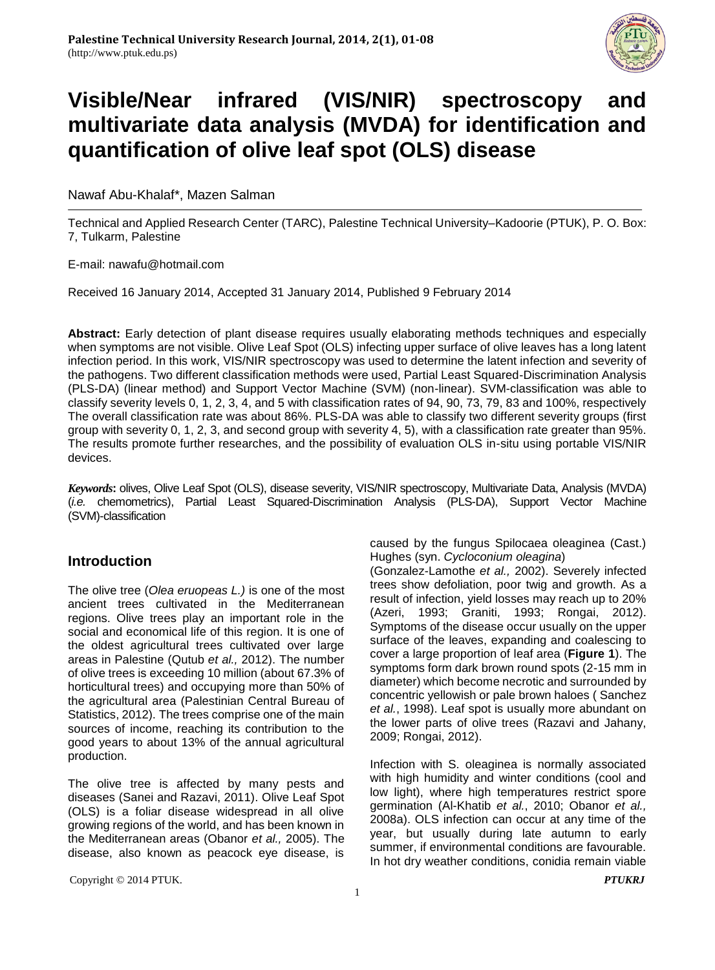

# **Visible/Near infrared (VIS/NIR) spectroscopy and multivariate data analysis (MVDA) for identification and quantification of olive leaf spot (OLS) disease**

#### Nawaf Abu-Khalaf\*, Mazen Salman

Technical and Applied Research Center (TARC), Palestine Technical University–Kadoorie (PTUK), P. O. Box: 7, Tulkarm, Palestine

E-mail: [nawafu@hotmail.com](mailto:nawafu@hotmail.com)

Received 16 January 2014, Accepted 31 January 2014, Published 9 February 2014

**Abstract:** Early detection of plant disease requires usually elaborating methods techniques and especially when symptoms are not visible. Olive Leaf Spot (OLS) infecting upper surface of olive leaves has a long latent infection period. In this work, VIS/NIR spectroscopy was used to determine the latent infection and severity of the pathogens. Two different classification methods were used, Partial Least Squared-Discrimination Analysis (PLS-DA) (linear method) and Support Vector Machine (SVM) (non-linear). SVM-classification was able to classify severity levels 0, 1, 2, 3, 4, and 5 with classification rates of 94, 90, 73, 79, 83 and 100%, respectively The overall classification rate was about 86%. PLS-DA was able to classify two different severity groups (first group with severity 0, 1, 2, 3, and second group with severity 4, 5), with a classification rate greater than 95%. The results promote further researches, and the possibility of evaluation OLS in-situ using portable VIS/NIR devices.

*Keywords***:** olives, Olive Leaf Spot (OLS), disease severity, VIS/NIR spectroscopy, Multivariate Data, Analysis (MVDA) (*i.e.* chemometrics), Partial Least Squared-Discrimination Analysis (PLS-DA), Support Vector Machine (SVM)-classification

# **Introduction**

The olive tree (*Olea eruopeas L.)* is one of the most ancient trees cultivated in the Mediterranean regions. Olive trees play an important role in the social and economical life of this region. It is one of the oldest agricultural trees cultivated over large areas in Palestine (Qutub *et al.,* 2012). The number of olive trees is exceeding 10 million (about 67.3% of horticultural trees) and occupying more than 50% of the agricultural area (Palestinian Central Bureau of Statistics, 2012). The trees comprise one of the main sources of income, reaching its contribution to the good years to about 13% of the annual agricultural production.

The olive tree is affected by many pests and diseases (Sanei and Razavi, 2011). Olive Leaf Spot (OLS) is a foliar disease widespread in all olive growing regions of the world, and has been known in the Mediterranean areas (Obanor *et al.,* 2005). The disease, also known as peacock eye disease, is

Copyright © 2014 PTUK. *PTUKRJ*

caused by the fungus Spilocaea oleaginea (Cast.) Hughes (syn. *Cycloconium oleagina*)

(Gonzalez-Lamothe *et al.,* 2002). Severely infected trees show defoliation, poor twig and growth. As a result of infection, yield losses may reach up to 20% (Azeri, 1993; Graniti, 1993; Rongai, 2012). Symptoms of the disease occur usually on the upper surface of the leaves, expanding and coalescing to cover a large proportion of leaf area (**Figure 1**). The symptoms form dark brown round spots (2-15 mm in diameter) which become necrotic and surrounded by concentric yellowish or pale brown haloes ( Sanchez *et al.*, 1998). Leaf spot is usually more abundant on the lower parts of olive trees (Razavi and Jahany, 2009; Rongai, 2012).

Infection with S. oleaginea is normally associated with high humidity and winter conditions (cool and low light), where high temperatures restrict spore germination (Al-Khatib *et al.*, 2010; Obanor *et al.,* 2008a). OLS infection can occur at any time of the year, but usually during late autumn to early summer, if environmental conditions are favourable. In hot dry weather conditions, conidia remain viable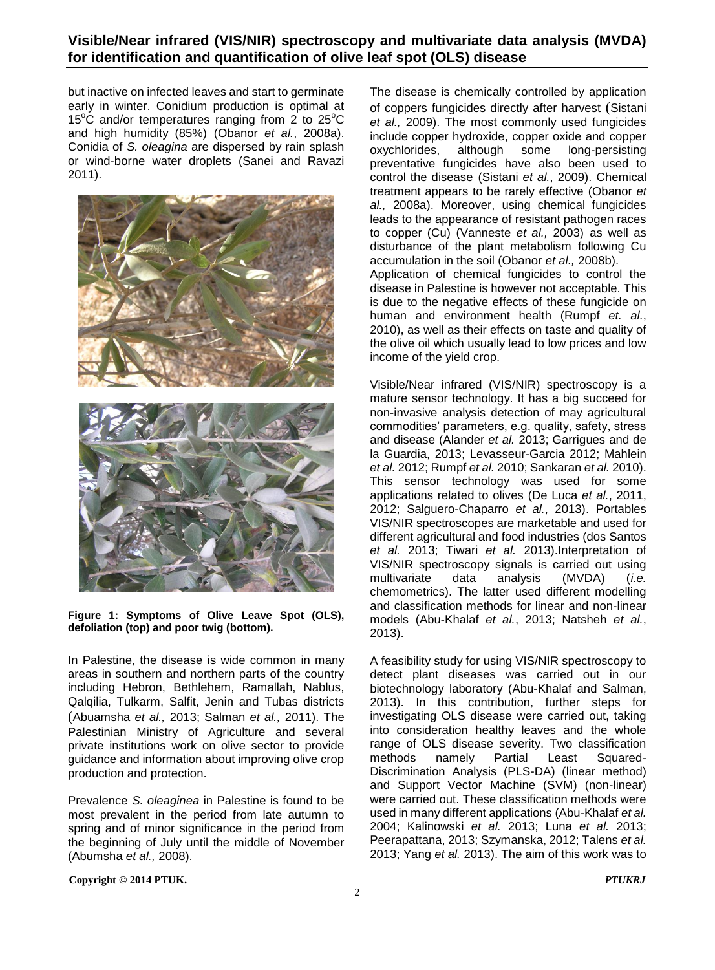# **Visible/Near infrared (VIS/NIR) spectroscopy and multivariate data analysis (MVDA) for identification and quantification of olive leaf spot (OLS) disease**

but inactive on infected leaves and start to germinate early in winter. Conidium production is optimal at 15<sup>o</sup>C and/or temperatures ranging from 2 to  $25^{\circ}$ C and high humidity (85%) (Obanor *et al.*, 2008a). Conidia of *S. oleagina* are dispersed by rain splash or wind-borne water droplets (Sanei and Ravazi 2011).



**Figure 1: Symptoms of Olive Leave Spot (OLS), defoliation (top) and poor twig (bottom).**

In Palestine, the disease is wide common in many areas in southern and northern parts of the country including Hebron, Bethlehem, Ramallah, Nablus, Qalqilia, Tulkarm, Salfit, Jenin and Tubas districts (Abuamsha *et al.,* 2013; Salman *et al.,* 2011). The Palestinian Ministry of Agriculture and several private institutions work on olive sector to provide guidance and information about improving olive crop production and protection.

Prevalence *S. oleaginea* in Palestine is found to be most prevalent in the period from late autumn to spring and of minor significance in the period from the beginning of July until the middle of November (Abumsha *et al.,* 2008).

The disease is chemically controlled by application of coppers fungicides directly after harvest (Sistani *et al.,* 2009). The most commonly used fungicides include copper hydroxide, copper oxide and copper oxychlorides, although some long-persisting preventative fungicides have also been used to control the disease (Sistani *et al.*, 2009). Chemical treatment appears to be rarely effective (Obanor *et al.,* 2008a). Moreover, using chemical fungicides leads to the appearance of resistant pathogen races to copper (Cu) (Vanneste *et al.,* 2003) as well as disturbance of the plant metabolism following Cu accumulation in the soil (Obanor *et al.,* 2008b). Application of chemical fungicides to control the disease in Palestine is however not acceptable. This is due to the negative effects of these fungicide on human and environment health (Rumpf *et. al.*, 2010), as well as their effects on taste and quality of the olive oil which usually lead to low prices and low

income of the yield crop.

Visible/Near infrared (VIS/NIR) spectroscopy is a mature sensor technology. It has a big succeed for non-invasive analysis detection of may agricultural commodities' parameters, e.g. quality, safety, stress and disease (Alander *et al.* 2013; Garrigues and de la Guardia, 2013; Levasseur-Garcia 2012; Mahlein *et al.* 2012; Rumpf *et al.* 2010; Sankaran *et al.* 2010). This sensor technology was used for some applications related to olives (De Luca *et al.*, 2011, 2012; Salguero-Chaparro *et al.*, 2013). Portables VIS/NIR spectroscopes are marketable and used for different agricultural and food industries (dos Santos *et al.* 2013; Tiwari *et al.* 2013).Interpretation of VIS/NIR spectroscopy signals is carried out using multivariate data analysis (MVDA) (*i.e.* chemometrics). The latter used different modelling and classification methods for linear and non-linear models (Abu-Khalaf *et al.*, 2013; Natsheh *et al.*, 2013).

A feasibility study for using VIS/NIR spectroscopy to detect plant diseases was carried out in our biotechnology laboratory (Abu-Khalaf and Salman, 2013). In this contribution, further steps for investigating OLS disease were carried out, taking into consideration healthy leaves and the whole range of OLS disease severity. Two classification methods namely Partial Least Squared-Discrimination Analysis (PLS-DA) (linear method) and Support Vector Machine (SVM) (non-linear) were carried out. These classification methods were used in many different applications (Abu-Khalaf *et al.* 2004; Kalinowski *et al.* 2013; Luna *et al.* 2013; Peerapattana, 2013; Szymanska, 2012; Talens *et al.* 2013; Yang *et al.* 2013). The aim of this work was to

**Copyright © 2014 PTUK.** *PTUKRJ*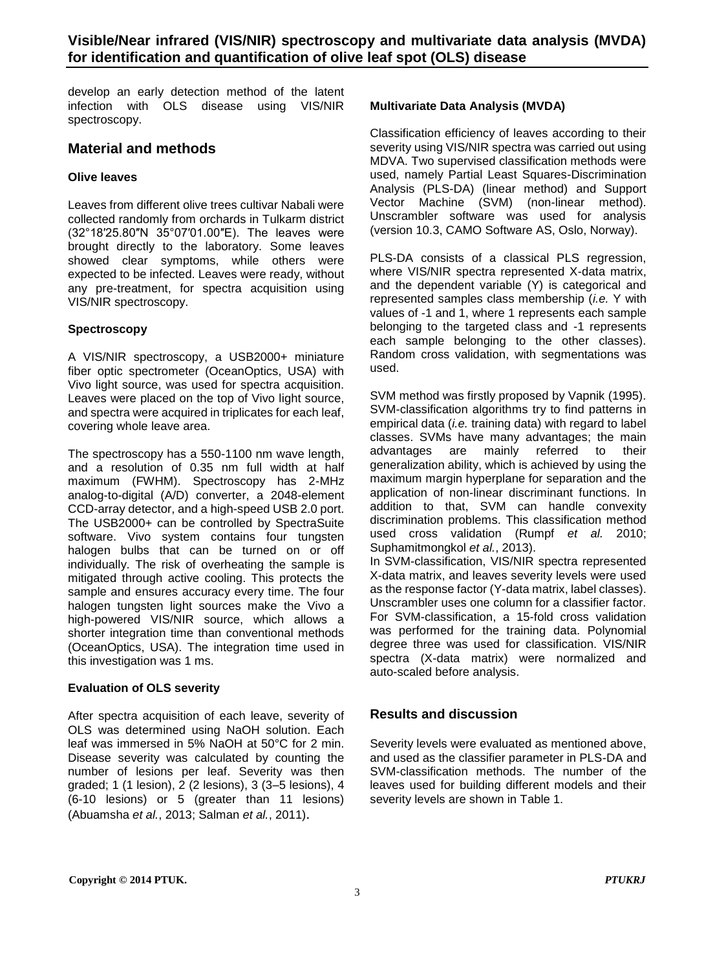develop an early detection method of the latent infection with OLS disease using VIS/NIR spectroscopy.

# **Material and methods**

#### **Olive leaves**

Leaves from different olive trees cultivar Nabali were collected randomly from orchards in Tulkarm district (32°18′25.80″N 35°07′01.00″E). The leaves were brought directly to the laboratory. Some leaves showed clear symptoms, while others were expected to be infected. Leaves were ready, without any pre-treatment, for spectra acquisition using VIS/NIR spectroscopy.

#### **Spectroscopy**

A VIS/NIR spectroscopy, a USB2000+ miniature fiber optic spectrometer (OceanOptics, USA) with Vivo light source, was used for spectra acquisition. Leaves were placed on the top of Vivo light source, and spectra were acquired in triplicates for each leaf, covering whole leave area.

The spectroscopy has a 550-1100 nm wave length, and a resolution of 0.35 nm full width at half maximum (FWHM). Spectroscopy has 2-MHz analog-to-digital (A/D) converter, a 2048-element CCD-array detector, and a high-speed USB 2.0 port. The USB2000+ can be controlled by SpectraSuite software. Vivo system contains four tungsten halogen bulbs that can be turned on or off individually. The risk of overheating the sample is mitigated through active cooling. This protects the sample and ensures accuracy every time. The four halogen tungsten light sources make the Vivo a high-powered VIS/NIR source, which allows a shorter integration time than conventional methods (OceanOptics, USA). The integration time used in this investigation was 1 ms.

#### **Evaluation of OLS severity**

After spectra acquisition of each leave, severity of OLS was determined using NaOH solution. Each leaf was immersed in 5% NaOH at 50°C for 2 min. Disease severity was calculated by counting the number of lesions per leaf. Severity was then graded; 1 (1 lesion), 2 (2 lesions), 3 (3–5 lesions), 4 (6-10 lesions) or 5 (greater than 11 lesions) (Abuamsha *et al.*, 2013; Salman *et al.*, 2011).

#### **Multivariate Data Analysis (MVDA)**

Classification efficiency of leaves according to their severity using VIS/NIR spectra was carried out using MDVA. Two supervised classification methods were used, namely Partial Least Squares-Discrimination Analysis (PLS-DA) (linear method) and Support Vector Machine (SVM) (non-linear method). Unscrambler software was used for analysis (version 10.3, CAMO Software AS, Oslo, Norway).

PLS-DA consists of a classical PLS regression, where VIS/NIR spectra represented X-data matrix, and the dependent variable (Y) is categorical and represented samples class membership (*i.e.* Y with values of -1 and 1, where 1 represents each sample belonging to the targeted class and -1 represents each sample belonging to the other classes). Random cross validation, with segmentations was used.

SVM method was firstly proposed by Vapnik (1995). SVM-classification algorithms try to find patterns in empirical data (*i.e.* training data) with regard to label classes. SVMs have many advantages; the main advantages are mainly referred to their generalization ability, which is achieved by using the maximum margin hyperplane for separation and the application of non-linear discriminant functions. In addition to that, SVM can handle convexity discrimination problems. This classification method used cross validation (Rumpf *et al.* 2010; Suphamitmongkol *et al.*, 2013).

In SVM-classification, VIS/NIR spectra represented X-data matrix, and leaves severity levels were used as the response factor (Y-data matrix, label classes). Unscrambler uses one column for a classifier factor. For SVM-classification, a 15-fold cross validation was performed for the training data. Polynomial degree three was used for classification. VIS/NIR spectra (X-data matrix) were normalized and auto-scaled before analysis.

# **Results and discussion**

Severity levels were evaluated as mentioned above, and used as the classifier parameter in PLS-DA and SVM-classification methods. The number of the leaves used for building different models and their severity levels are shown in Table 1.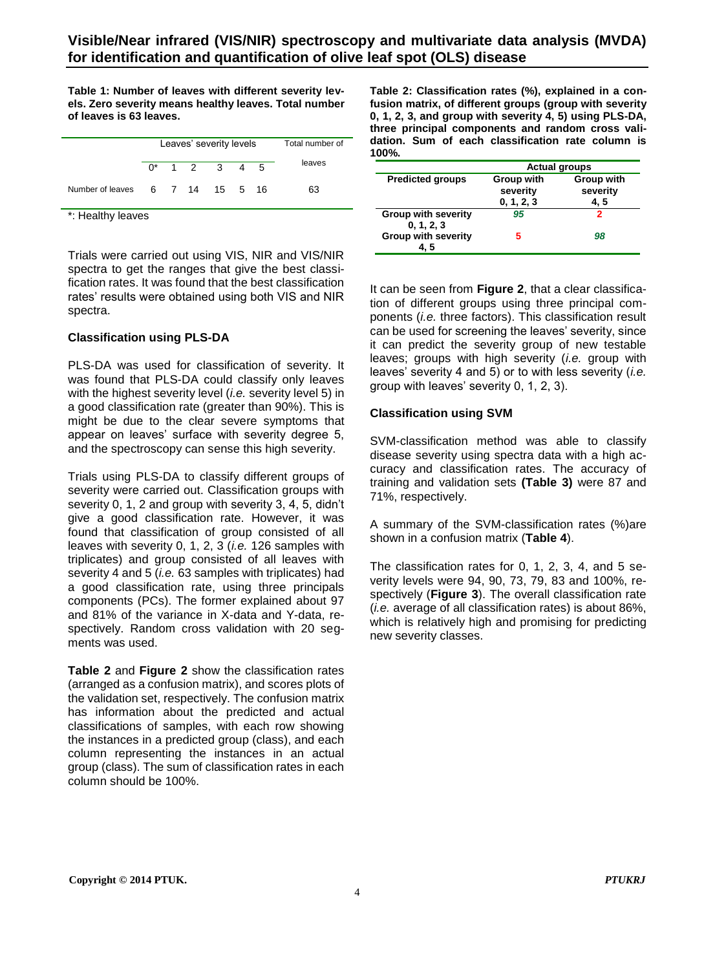**Table 1: Number of leaves with different severity levels. Zero severity means healthy leaves. Total number of leaves is 63 leaves.**

|                                 | Leaves' severity levels |  |  |                 |  | Total number of |        |
|---------------------------------|-------------------------|--|--|-----------------|--|-----------------|--------|
|                                 |                         |  |  | $0^*$ 1 2 3 4 5 |  |                 | leaves |
| Number of leaves 6 7 14 15 5 16 |                         |  |  |                 |  |                 | 63     |

\*: Healthy leaves

Trials were carried out using VIS, NIR and VIS/NIR spectra to get the ranges that give the best classification rates. It was found that the best classification rates' results were obtained using both VIS and NIR spectra.

#### **Classification using PLS-DA**

PLS-DA was used for classification of severity. It was found that PLS-DA could classify only leaves with the highest severity level (*i.e.* severity level 5) in a good classification rate (greater than 90%). This is might be due to the clear severe symptoms that appear on leaves' surface with severity degree 5, and the spectroscopy can sense this high severity.

Trials using PLS-DA to classify different groups of severity were carried out. Classification groups with severity 0, 1, 2 and group with severity 3, 4, 5, didn't give a good classification rate. However, it was found that classification of group consisted of all leaves with severity 0, 1, 2, 3 (*i.e.* 126 samples with triplicates) and group consisted of all leaves with severity 4 and 5 (*i.e.* 63 samples with triplicates) had a good classification rate, using three principals components (PCs). The former explained about 97 and 81% of the variance in X-data and Y-data, respectively. Random cross validation with 20 segments was used.

**Table 2** and **Figure 2** show the classification rates (arranged as a confusion matrix), and scores plots of the validation set, respectively. The confusion matrix has information about the predicted and actual classifications of samples, with each row showing the instances in a predicted group (class), and each column representing the instances in an actual group (class). The sum of classification rates in each column should be 100%.

**Table 2: Classification rates (%), explained in a confusion matrix, of different groups (group with severity 0, 1, 2, 3, and group with severity 4, 5) using PLS-DA, three principal components and random cross validation. Sum of each classification rate column is 100%.**

|                                          | <b>Actual groups</b>                 |                               |  |  |  |
|------------------------------------------|--------------------------------------|-------------------------------|--|--|--|
| <b>Predicted groups</b>                  | Group with<br>severity<br>0, 1, 2, 3 | Group with<br>severity<br>4.5 |  |  |  |
| <b>Group with severity</b><br>0, 1, 2, 3 | 95                                   | 2                             |  |  |  |
| <b>Group with severity</b><br>4. 5       | 5                                    | 98                            |  |  |  |

It can be seen from **Figure 2**, that a clear classification of different groups using three principal components (*i.e.* three factors). This classification result can be used for screening the leaves' severity, since it can predict the severity group of new testable leaves; groups with high severity (*i.e.* group with leaves' severity 4 and 5) or to with less severity (*i.e.* group with leaves' severity 0, 1, 2, 3).

#### **Classification using SVM**

SVM-classification method was able to classify disease severity using spectra data with a high accuracy and classification rates. The accuracy of training and validation sets **(Table 3)** were 87 and 71%, respectively.

A summary of the SVM-classification rates (%)are shown in a confusion matrix (**Table 4**).

The classification rates for 0, 1, 2, 3, 4, and 5 severity levels were 94, 90, 73, 79, 83 and 100%, respectively (**Figure 3**). The overall classification rate (*i.e.* average of all classification rates) is about 86%, which is relatively high and promising for predicting new severity classes.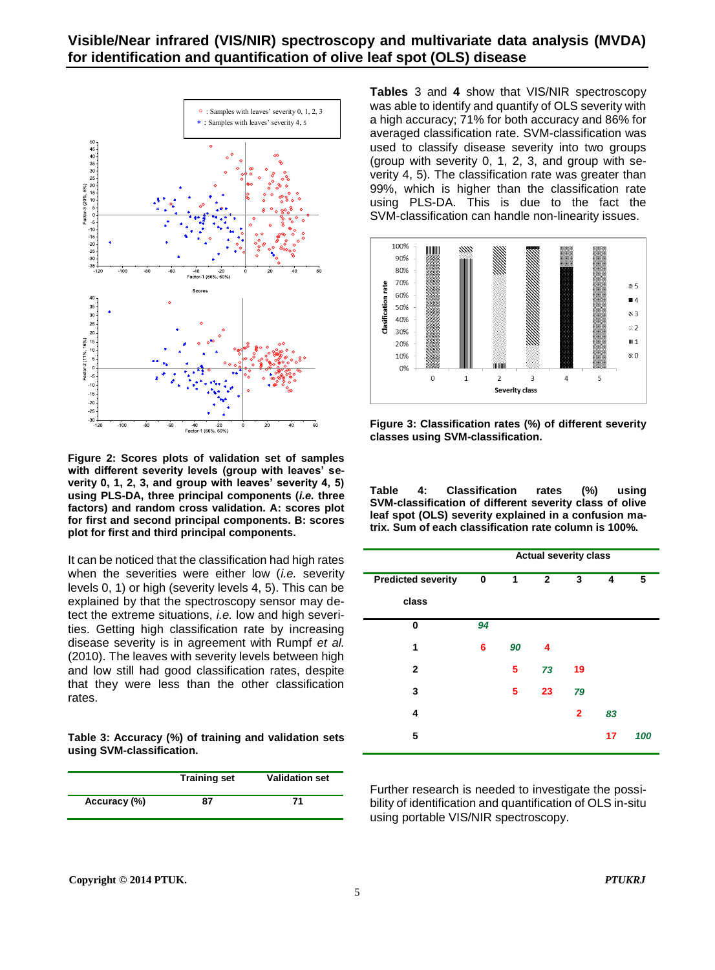

**Figure 2: Scores plots of validation set of samples with different severity levels (group with leaves' severity 0, 1, 2, 3, and group with leaves' severity 4, 5) using PLS-DA, three principal components (***i.e.* **three factors) and random cross validation. A: scores plot for first and second principal components. B: scores plot for first and third principal components.**

It can be noticed that the classification had high rates when the severities were either low (*i.e.* severity levels 0, 1) or high (severity levels 4, 5). This can be explained by that the spectroscopy sensor may detect the extreme situations, *i.e.* low and high severities. Getting high classification rate by increasing disease severity is in agreement with Rumpf *et al.* (2010). The leaves with severity levels between high and low still had good classification rates, despite that they were less than the other classification rates.

**Table 3: Accuracy (%) of training and validation sets using SVM-classification.**

|              | <b>Training set</b> | <b>Validation set</b> |  |  |
|--------------|---------------------|-----------------------|--|--|
| Accuracy (%) | 87                  | 71                    |  |  |

**Tables** 3 and **4** show that VIS/NIR spectroscopy was able to identify and quantify of OLS severity with a high accuracy; 71% for both accuracy and 86% for averaged classification rate. SVM-classification was used to classify disease severity into two groups (group with severity 0, 1, 2, 3, and group with severity 4, 5). The classification rate was greater than 99%, which is higher than the classification rate using PLS-DA. This is due to the fact the SVM-classification can handle non-linearity issues.



**Figure 3: Classification rates (%) of different severity classes using SVM-classification.**

**Table 4: Classification rates (%) using SVM-classification of different severity class of olive leaf spot (OLS) severity explained in a confusion matrix. Sum of each classification rate column is 100%.**

| <b>Actual severity class</b> |    |              |                |    |     |  |  |
|------------------------------|----|--------------|----------------|----|-----|--|--|
| 0                            | 1  | $\mathbf{2}$ | 3              | 4  | 5   |  |  |
|                              |    |              |                |    |     |  |  |
| 94                           |    |              |                |    |     |  |  |
| 6                            | 90 | 4            |                |    |     |  |  |
|                              | 5  | 73           | 19             |    |     |  |  |
|                              | 5  | 23           | 79             |    |     |  |  |
|                              |    |              | $\overline{2}$ | 83 |     |  |  |
|                              |    |              |                | 17 | 100 |  |  |
|                              |    |              |                |    |     |  |  |

Further research is needed to investigate the possibility of identification and quantification of OLS in-situ using portable VIS/NIR spectroscopy.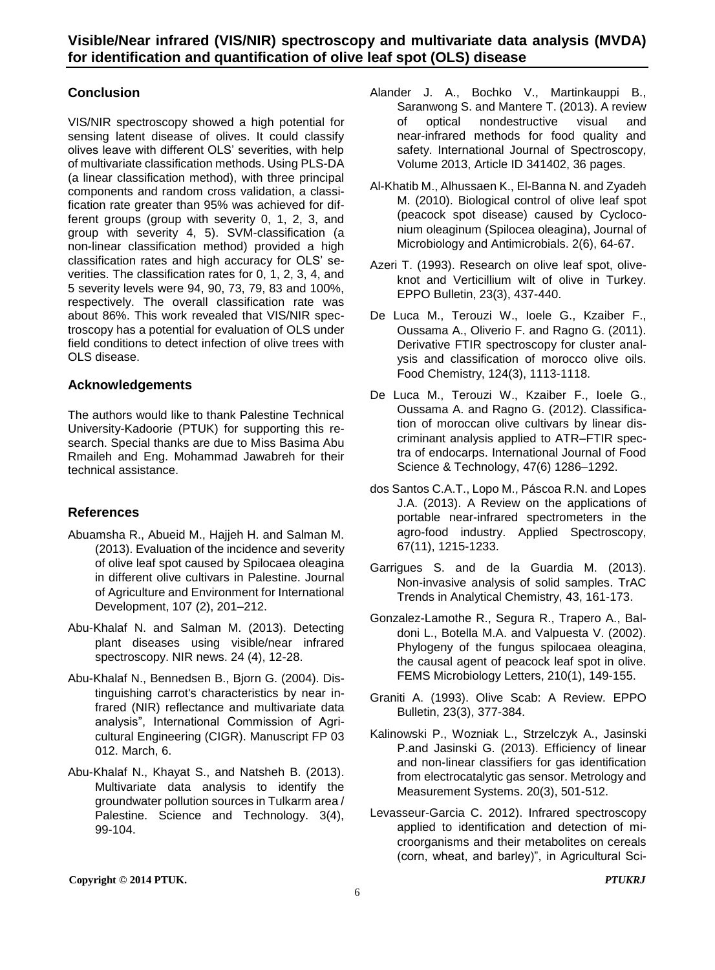# **Conclusion**

VIS/NIR spectroscopy showed a high potential for sensing latent disease of olives. It could classify olives leave with different OLS' severities, with help of multivariate classification methods. Using PLS-DA (a linear classification method), with three principal components and random cross validation, a classification rate greater than 95% was achieved for different groups (group with severity 0, 1, 2, 3, and group with severity 4, 5). SVM-classification (a non-linear classification method) provided a high classification rates and high accuracy for OLS' severities. The classification rates for 0, 1, 2, 3, 4, and 5 severity levels were 94, 90, 73, 79, 83 and 100%, respectively. The overall classification rate was about 86%. This work revealed that VIS/NIR spectroscopy has a potential for evaluation of OLS under field conditions to detect infection of olive trees with OLS disease.

### **Acknowledgements**

The authors would like to thank Palestine Technical University-Kadoorie (PTUK) for supporting this research. Special thanks are due to Miss Basima Abu Rmaileh and Eng. Mohammad Jawabreh for their technical assistance.

# **References**

- Abuamsha R., Abueid M., Hajjeh H. and Salman M. (2013). Evaluation of the incidence and severity of olive leaf spot caused by Spilocaea oleagina in different olive cultivars in Palestine. Journal of Agriculture and Environment for International Development, 107 (2), 201–212.
- Abu-Khalaf N. and Salman M. (2013). Detecting plant diseases using visible/near infrared spectroscopy. NIR news. 24 (4), 12-28.
- Abu-Khalaf N., Bennedsen B., Bjorn G. (2004). Distinguishing carrot's characteristics by near infrared (NIR) reflectance and multivariate data analysis", International Commission of Agricultural Engineering (CIGR). Manuscript FP 03 012. March, 6.
- Abu-Khalaf N., Khayat S., and Natsheh B. (2013). Multivariate data analysis to identify the groundwater pollution sources in Tulkarm area / Palestine. Science and Technology. 3(4), 99-104.
- Alander J. A., Bochko V., Martinkauppi B., Saranwong S. and Mantere T. (2013). A review of optical nondestructive visual and near-infrared methods for food quality and safety. International Journal of Spectroscopy, Volume 2013, Article ID 341402, 36 pages.
- Al-Khatib M., Alhussaen K., El-Banna N. and Zyadeh M. (2010). Biological control of olive leaf spot (peacock spot disease) caused by Cycloconium oleaginum (Spilocea oleagina), Journal of Microbiology and Antimicrobials. 2(6), 64-67.
- Azeri T. (1993). Research on olive leaf spot, oliveknot and Verticillium wilt of olive in Turkey. EPPO Bulletin, 23(3), 437-440.
- De Luca M., Terouzi W., Ioele G., Kzaiber F., Oussama A., Oliverio F. and Ragno G. (2011). Derivative FTIR spectroscopy for cluster analysis and classification of morocco olive oils. Food Chemistry, 124(3), 1113-1118.
- De Luca M., Terouzi W., Kzaiber F., Ioele G., Oussama A. and Ragno G. (2012). Classification of moroccan olive cultivars by linear discriminant analysis applied to ATR–FTIR spectra of endocarps. International Journal of Food Science & Technology, [47\(6\)](http://onlinelibrary.wiley.com/doi/10.1111/ifs.2012.47.issue-6/issuetoc) 1286–1292.
- dos Santos C.A.T., Lopo M., Páscoa R.N. and Lopes J.A. (2013). A Review on the applications of portable near-infrared spectrometers in the agro-food industry. Applied Spectroscopy, 67(11), 1215-1233.
- Garrigues S. and de la Guardia M. (2013). Non-invasive analysis of solid samples. TrAC Trends in Analytical Chemistry, 43, 161-173.
- Gonzalez-Lamothe R., Segura R., Trapero A., Baldoni L., Botella M.A. and Valpuesta V. (2002). Phylogeny of the fungus spilocaea oleagina, the causal agent of peacock leaf spot in olive. FEMS Microbiology Letters, 210(1), 149-155.
- Graniti A. (1993). Olive Scab: A Review. EPPO Bulletin, 23(3), 377-384.
- Kalinowski P., Wozniak L., Strzelczyk A., Jasinski P.and Jasinski G. (2013). Efficiency of linear and non-linear classifiers for gas identification from electrocatalytic gas sensor. Metrology and Measurement Systems. 20(3), 501-512.
- Levasseur-Garcia C. 2012). Infrared spectroscopy applied to identification and detection of microorganisms and their metabolites on cereals (corn, wheat, and barley)", in Agricultural Sci-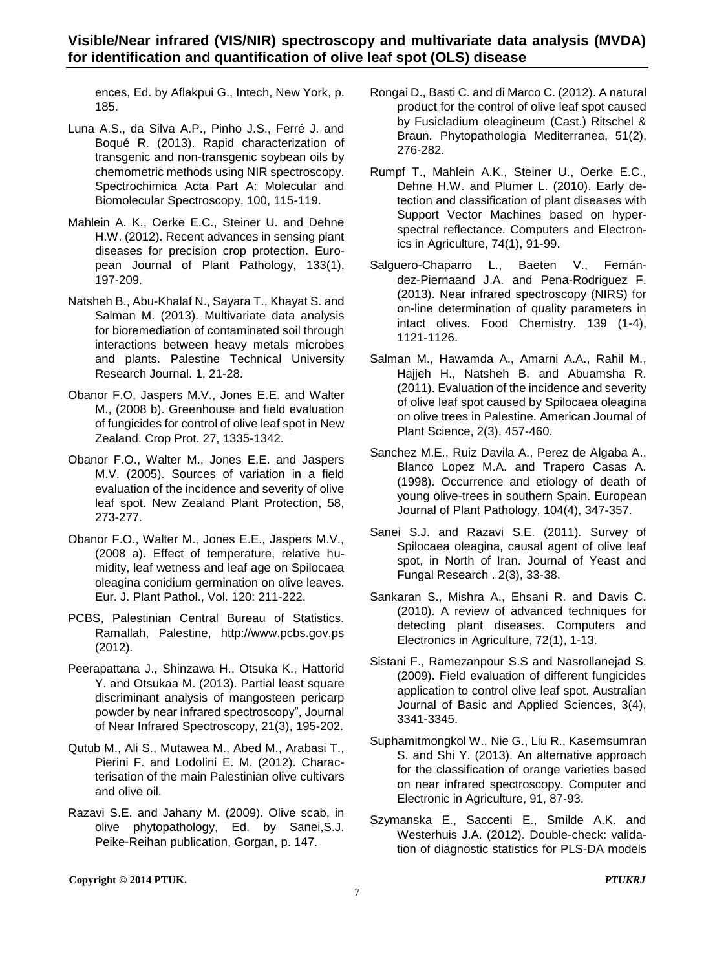ences, Ed. by Aflakpui G., Intech, New York, p. 185.

- Luna A.S., da Silva A.P., Pinho J.S., Ferré J. and Boqué R. (2013). Rapid characterization of transgenic and non-transgenic soybean oils by chemometric methods using NIR spectroscopy. Spectrochimica Acta Part A: Molecular and Biomolecular Spectroscopy, 100, 115-119.
- Mahlein A. K., Oerke E.C., Steiner U. and Dehne H.W. (2012). Recent advances in sensing plant diseases for precision crop protection. European Journal of Plant Pathology, 133(1), 197-209.
- Natsheh B., Abu-Khalaf N., Sayara T., Khayat S. and Salman M. (2013). Multivariate data analysis for bioremediation of contaminated soil through interactions between heavy metals microbes and plants. Palestine Technical University Research Journal. 1, 21-28.
- Obanor F.O, Jaspers M.V., Jones E.E. and Walter M., (2008 b). Greenhouse and field evaluation of fungicides for control of olive leaf spot in New Zealand. Crop Prot. 27, 1335-1342.
- Obanor F.O., Walter M., Jones E.E. and Jaspers M.V. (2005). Sources of variation in a field evaluation of the incidence and severity of olive leaf spot. New Zealand Plant Protection, 58, 273-277.
- Obanor F.O., Walter M., Jones E.E., Jaspers M.V., (2008 a). Effect of temperature, relative humidity, leaf wetness and leaf age on Spilocaea oleagina conidium germination on olive leaves. Eur. J. Plant Pathol., Vol. 120: 211-222.
- PCBS, Palestinian Central Bureau of Statistics. Ramallah, Palestine, http://www.pcbs.gov.ps (2012).
- Peerapattana J., Shinzawa H., Otsuka K., Hattorid Y. and Otsukaa M. (2013). Partial least square discriminant analysis of mangosteen pericarp powder by near infrared spectroscopy", Journal of Near Infrared Spectroscopy, 21(3), 195-202.
- Qutub M., Ali S., Mutawea M., Abed M., Arabasi T., Pierini F. and Lodolini E. M. (2012). Characterisation of the main Palestinian olive cultivars and olive oil.
- Razavi S.E. and Jahany M. (2009). Olive scab, in olive phytopathology, Ed. by Sanei,S.J. Peike-Reihan publication, Gorgan, p. 147.
- Rongai D., Basti C. and di Marco C. (2012). A natural product for the control of olive leaf spot caused by Fusicladium oleagineum (Cast.) Ritschel & Braun. Phytopathologia Mediterranea, 51(2), 276-282.
- Rumpf T., Mahlein A.K., Steiner U., Oerke E.C., Dehne H.W. and Plumer L. (2010). Early detection and classification of plant diseases with Support Vector Machines based on hyperspectral reflectance. Computers and Electronics in Agriculture, 74(1), 91-99.
- Salguero-Chaparro L., Baeten V., Fernández-Piernaand J.A. and Pena-Rodriguez F. (2013). Near infrared spectroscopy (NIRS) for on-line determination of quality parameters in intact olives. Food Chemistry. 139 (1-4), 1121-1126.
- Salman M., Hawamda A., Amarni A.A., Rahil M., Hajjeh H., Natsheh B. and Abuamsha R. (2011). Evaluation of the incidence and severity of olive leaf spot caused by Spilocaea oleagina on olive trees in Palestine. American Journal of Plant Science, 2(3), 457-460.
- Sanchez M.E., Ruiz Davila A., Perez de Algaba A., Blanco Lopez M.A. and Trapero Casas A. (1998). Occurrence and etiology of death of young olive-trees in southern Spain. European Journal of Plant Pathology, 104(4), 347-357.
- Sanei S.J. and Razavi S.E. (2011). Survey of Spilocaea oleagina, causal agent of olive leaf spot, in North of Iran. Journal of Yeast and Fungal Research . 2(3), 33-38.
- Sankaran S., Mishra A., Ehsani R. and Davis C. (2010). A review of advanced techniques for detecting plant diseases. Computers and Electronics in Agriculture, 72(1), 1-13.
- Sistani F., Ramezanpour S.S and Nasrollanejad S. (2009). Field evaluation of different fungicides application to control olive leaf spot. Australian Journal of Basic and Applied Sciences, 3(4), 3341-3345.
- Suphamitmongkol W., Nie G., Liu R., Kasemsumran S. and Shi Y. (2013). An alternative approach for the classification of orange varieties based on near infrared spectroscopy. Computer and Electronic in Agriculture, 91, 87-93.
- Szymanska E., Saccenti E., Smilde A.K. and Westerhuis J.A. (2012). Double-check: validation of diagnostic statistics for PLS-DA models

**Copyright © 2014 PTUK.** *PTUKRJ*